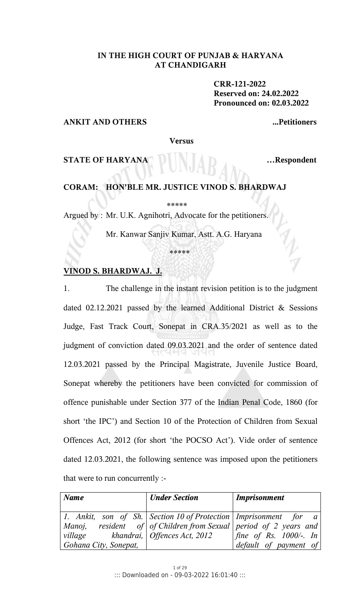# **IN THE HIGH COURT OF PUNJAB & HARYANA AT CHANDIGARH**

 **CRR-121-2022 Reserved on: 24.02.2022 Pronounced on: 02.03.2022** 

## **ANKIT AND OTHERS ...Petitioners**

 **Versus** 

**STATE OF HARYANA EXECUTE:** ... Respondent

## **CORAM: HON'BLE MR. JUSTICE VINOD S. BHARDWAJ**

\*\*\*\*\*

Argued by : Mr. U.K. Agnihotri, Advocate for the petitioners.

Mr. Kanwar Sanjiv Kumar, Astt. A.G. Haryana

\*\*\*\*\*

## **VINOD S. BHARDWAJ. J.**

1. The challenge in the instant revision petition is to the judgment dated 02.12.2021 passed by the learned Additional District & Sessions Judge, Fast Track Court, Sonepat in CRA.35/2021 as well as to the judgment of conviction dated 09.03.2021 and the order of sentence dated 12.03.2021 passed by the Principal Magistrate, Juvenile Justice Board, Sonepat whereby the petitioners have been convicted for commission of offence punishable under Section 377 of the Indian Penal Code, 1860 (for short 'the IPC') and Section 10 of the Protection of Children from Sexual Offences Act, 2012 (for short 'the POCSO Act'). Vide order of sentence dated 12.03.2021, the following sentence was imposed upon the petitioners that were to run concurrently :-

| $\sqrt{N}$ ame                                        | <b>Under Section</b> | <b>Imprisonment</b>                                                  |
|-------------------------------------------------------|----------------------|----------------------------------------------------------------------|
|                                                       |                      |                                                                      |
|                                                       |                      | 1. Ankit, son of Sh.   Section 10 of Protection   Imprisonment for a |
|                                                       |                      | Manoj, resident of   of Children from Sexual   period of 2 years and |
| village $\blacksquare$ khandrai,   Offences Act, 2012 |                      | fine of Rs. $1000/-$ . In                                            |
| Gohana City, Sonepat,                                 |                      | default of payment of                                                |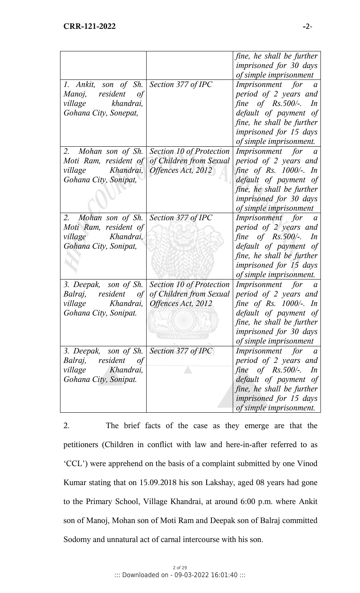|                                                                                                                 |                                                                                                                                 | fine, he shall be further<br>imprisoned for 30 days<br>of simple imprisonment                                                                                                                                      |
|-----------------------------------------------------------------------------------------------------------------|---------------------------------------------------------------------------------------------------------------------------------|--------------------------------------------------------------------------------------------------------------------------------------------------------------------------------------------------------------------|
| 1. Ankit, son of Sh. Section 377 of IPC<br>Manoj, resident of<br>village khandrai,<br>Gohana City, Sonepat,     |                                                                                                                                 | Imprisonment for a<br>period of 2 years and<br>fine of $Rs.500/-$ . In<br>default of payment of<br>fine, he shall be further<br><i>imprisoned for 15 days</i><br>of simple imprisonment.                           |
| 2. Mohan son of Sh.<br>Moti Ram, resident of<br>village Khandrai,<br>Gohana City, Sonipat,                      | Section 10 of Protection<br>of Children from Sexual<br>Offences Act, 2012                                                       | Imprisonment for a<br>period of 2 years and<br>fine of Rs. $1000/-$ . In<br>default of payment of<br>fine, he shall be further<br><i>imprisoned for 30 days</i><br>of simple imprisonment                          |
| 2. Mohan son of Sh.   Section 377 of IPC<br>Moti Ram, resident of<br>village Khandrai,<br>Gohana City, Sonipat, |                                                                                                                                 | Imprisonment for a<br>period of 2 years and<br>fine of $Rs.500/-$ . In<br>default of payment of<br>fine, he shall be further<br><i>imprisoned for 15 days</i><br>of simple imprisonment.                           |
| village<br>Gohana City, Sonipat.                                                                                | 3. Deepak, son of Sh. Section 10 of Protection<br>Balraj, resident of of Children from Sexual<br>Khandrai,   Offences Act, 2012 | Imprisonment for a<br>period of 2 years and<br>fine of Rs. 1000/-. In<br>default of payment of<br>fine, he shall be further<br><i>imprisoned for 30 days</i><br>of simple imprisonment                             |
| 3. Deepak, son of Sh.<br>Balraj,<br>resident<br>of<br>village<br>Khandrai,<br>Gohana City, Sonipat.             | Section 377 of IPC                                                                                                              | <i>Imprisonment for</i><br>$\overline{a}$<br>period of 2 years and<br>fine<br>of Rs.500/-.<br>In<br>default of payment of<br>fine, he shall be further<br><i>imprisoned for 15 days</i><br>of simple imprisonment. |

2. The brief facts of the case as they emerge are that the petitioners (Children in conflict with law and here-in-after referred to as 'CCL') were apprehend on the basis of a complaint submitted by one Vinod Kumar stating that on 15.09.2018 his son Lakshay, aged 08 years had gone to the Primary School, Village Khandrai, at around 6:00 p.m. where Ankit son of Manoj, Mohan son of Moti Ram and Deepak son of Balraj committed Sodomy and unnatural act of carnal intercourse with his son.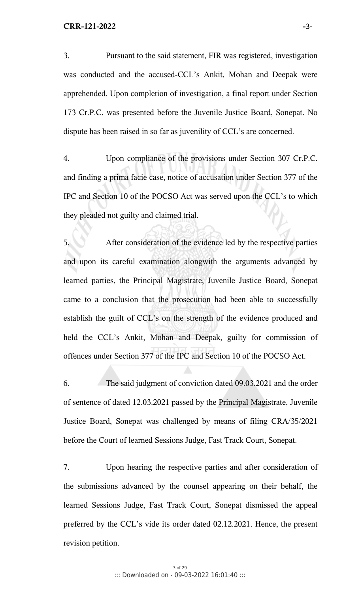3. Pursuant to the said statement, FIR was registered, investigation was conducted and the accused-CCL's Ankit, Mohan and Deepak were apprehended. Upon completion of investigation, a final report under Section 173 Cr.P.C. was presented before the Juvenile Justice Board, Sonepat. No dispute has been raised in so far as juvenility of CCL's are concerned.

4. Upon compliance of the provisions under Section 307 Cr.P.C. and finding a prima facie case, notice of accusation under Section 377 of the IPC and Section 10 of the POCSO Act was served upon the CCL's to which they pleaded not guilty and claimed trial.

5. After consideration of the evidence led by the respective parties and upon its careful examination alongwith the arguments advanced by learned parties, the Principal Magistrate, Juvenile Justice Board, Sonepat came to a conclusion that the prosecution had been able to successfully establish the guilt of CCL's on the strength of the evidence produced and held the CCL's Ankit, Mohan and Deepak, guilty for commission of offences under Section 377 of the IPC and Section 10 of the POCSO Act.

6. The said judgment of conviction dated 09.03.2021 and the order of sentence of dated 12.03.2021 passed by the Principal Magistrate, Juvenile Justice Board, Sonepat was challenged by means of filing CRA/35/2021 before the Court of learned Sessions Judge, Fast Track Court, Sonepat.

7. Upon hearing the respective parties and after consideration of the submissions advanced by the counsel appearing on their behalf, the learned Sessions Judge, Fast Track Court, Sonepat dismissed the appeal preferred by the CCL's vide its order dated 02.12.2021. Hence, the present revision petition.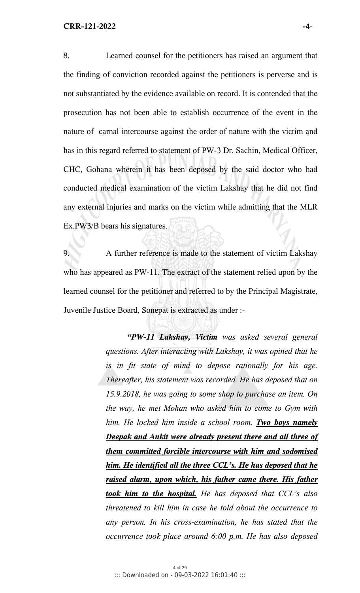8. Learned counsel for the petitioners has raised an argument that the finding of conviction recorded against the petitioners is perverse and is not substantiated by the evidence available on record. It is contended that the prosecution has not been able to establish occurrence of the event in the nature of carnal intercourse against the order of nature with the victim and has in this regard referred to statement of PW-3 Dr. Sachin, Medical Officer, CHC, Gohana wherein it has been deposed by the said doctor who had conducted medical examination of the victim Lakshay that he did not find any external injuries and marks on the victim while admitting that the MLR Ex.PW3/B bears his signatures.

9. A further reference is made to the statement of victim Lakshay who has appeared as PW-11. The extract of the statement relied upon by the learned counsel for the petitioner and referred to by the Principal Magistrate, Juvenile Justice Board, Sonepat is extracted as under :-

> *"PW-11 Lakshay, Victim was asked several general questions. After interacting with Lakshay, it was opined that he is in fit state of mind to depose rationally for his age. Thereafter, his statement was recorded. He has deposed that on 15.9.2018, he was going to some shop to purchase an item. On the way, he met Mohan who asked him to come to Gym with him. He locked him inside a school room. Two boys namely Deepak and Ankit were already present there and all three of them committed forcible intercourse with him and sodomised him. He identified all the three CCL's. He has deposed that he raised alarm, upon which, his father came there. His father took him to the hospital. He has deposed that CCL's also threatened to kill him in case he told about the occurrence to any person. In his cross-examination, he has stated that the occurrence took place around 6:00 p.m. He has also deposed*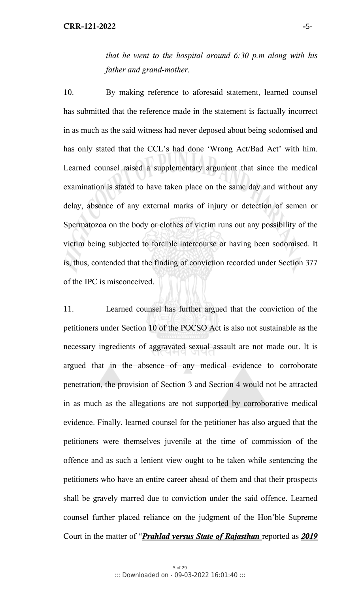*that he went to the hospital around 6:30 p.m along with his father and grand-mother.* 

10. By making reference to aforesaid statement, learned counsel has submitted that the reference made in the statement is factually incorrect in as much as the said witness had never deposed about being sodomised and has only stated that the CCL's had done 'Wrong Act/Bad Act' with him. Learned counsel raised a supplementary argument that since the medical examination is stated to have taken place on the same day and without any delay, absence of any external marks of injury or detection of semen or Spermatozoa on the body or clothes of victim runs out any possibility of the victim being subjected to forcible intercourse or having been sodomised. It is, thus, contended that the finding of conviction recorded under Section 377 of the IPC is misconceived.

11. Learned counsel has further argued that the conviction of the petitioners under Section 10 of the POCSO Act is also not sustainable as the necessary ingredients of aggravated sexual assault are not made out. It is argued that in the absence of any medical evidence to corroborate penetration, the provision of Section 3 and Section 4 would not be attracted in as much as the allegations are not supported by corroborative medical evidence. Finally, learned counsel for the petitioner has also argued that the petitioners were themselves juvenile at the time of commission of the offence and as such a lenient view ought to be taken while sentencing the petitioners who have an entire career ahead of them and that their prospects shall be gravely marred due to conviction under the said offence. Learned counsel further placed reliance on the judgment of the Hon'ble Supreme Court in the matter of "*Prahlad versus State of Rajasthan* reported as *2019*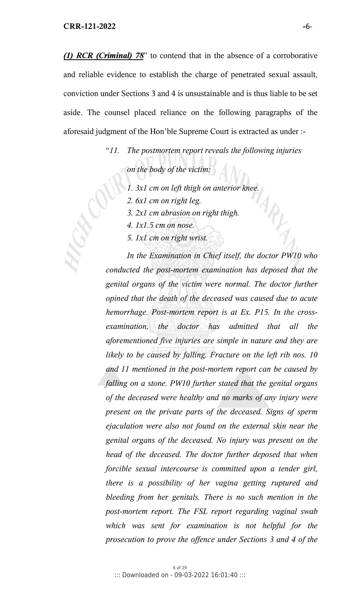*(1) RCR (Criminal) 78*" to contend that in the absence of a corroborative and reliable evidence to establish the charge of penetrated sexual assault, conviction under Sections 3 and 4 is unsustainable and is thus liable to be set aside. The counsel placed reliance on the following paragraphs of the aforesaid judgment of the Hon'ble Supreme Court is extracted as under :-

"*11. The postmortem report reveals the following injuries* 

 *on the body of the victim:*

- *1. 3x1 cm on left thigh on anterior knee.*
- *2. 6x1 cm on right leg.*
- *3. 2x1 cm abrasion on right thigh.*
- *4. 1x1.5 cm on nose.*
- *5. 1x1 cm on right wrist.*

*In the Examination in Chief itself, the doctor PW10 who conducted the post-mortem examination has deposed that the genital organs of the victim were normal. The doctor further opined that the death of the deceased was caused due to acute hemorrhage. Post-mortem report is at Ex. P15. In the crossexamination, the doctor has admitted that all the aforementioned five injuries are simple in nature and they are likely to be caused by falling. Fracture on the left rib nos. 10 and 11 mentioned in the post-mortem report can be caused by falling on a stone. PW10 further stated that the genital organs of the deceased were healthy and no marks of any injury were present on the private parts of the deceased. Signs of sperm ejaculation were also not found on the external skin near the genital organs of the deceased. No injury was present on the head of the deceased. The doctor further deposed that when forcible sexual intercourse is committed upon a tender girl, there is a possibility of her vagina getting ruptured and bleeding from her genitals. There is no such mention in the post-mortem report. The FSL report regarding vaginal swab which was sent for examination is not helpful for the prosecution to prove the offence under Sections 3 and 4 of the*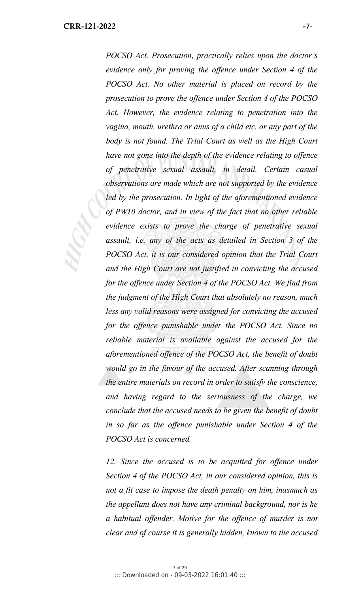*POCSO Act. Prosecution, practically relies upon the doctor's evidence only for proving the offence under Section 4 of the POCSO Act. No other material is placed on record by the prosecution to prove the offence under Section 4 of the POCSO Act. However, the evidence relating to penetration into the vagina, mouth, urethra or anus of a child etc. or any part of the body is not found. The Trial Court as well as the High Court have not gone into the depth of the evidence relating to offence of penetrative sexual assault, in detail. Certain casual observations are made which are not supported by the evidence led by the prosecution. In light of the aforementioned evidence of PW10 doctor, and in view of the fact that no other reliable evidence exists to prove the charge of penetrative sexual assault, i.e. any of the acts as detailed in Section 3 of the POCSO Act, it is our considered opinion that the Trial Court and the High Court are not justified in convicting the accused for the offence under Section 4 of the POCSO Act. We find from the judgment of the High Court that absolutely no reason, much less any valid reasons were assigned for convicting the accused for the offence punishable under the POCSO Act. Since no reliable material is available against the accused for the aforementioned offence of the POCSO Act, the benefit of doubt would go in the favour of the accused. After scanning through the entire materials on record in order to satisfy the conscience, and having regard to the seriousness of the charge, we conclude that the accused needs to be given the benefit of doubt in so far as the offence punishable under Section 4 of the POCSO Act is concerned.* 

12. Since the accused is to be acquitted for offence under *Section 4 of the POCSO Act, in our considered opinion, this is not a fit case to impose the death penalty on him, inasmuch as the appellant does not have any criminal background, nor is he a habitual offender. Motive for the offence of murder is not clear and of course it is generally hidden, known to the accused*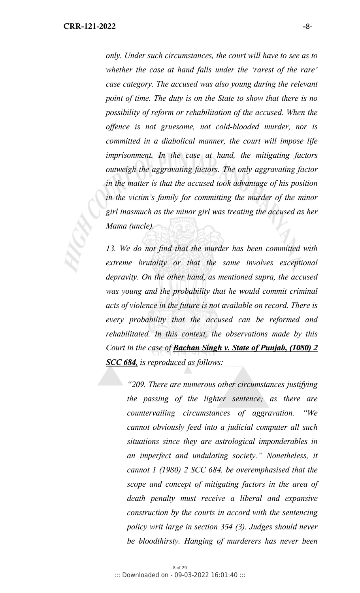*only. Under such circumstances, the court will have to see as to whether the case at hand falls under the 'rarest of the rare' case category. The accused was also young during the relevant point of time. The duty is on the State to show that there is no possibility of reform or rehabilitation of the accused. When the offence is not gruesome, not cold-blooded murder, nor is committed in a diabolical manner, the court will impose life imprisonment. In the case at hand, the mitigating factors outweigh the aggravating factors. The only aggravating factor in the matter is that the accused took advantage of his position in the victim's family for committing the murder of the minor girl inasmuch as the minor girl was treating the accused as her Mama (uncle).*

*13. We do not find that the murder has been committed with extreme brutality or that the same involves exceptional depravity. On the other hand, as mentioned supra, the accused was young and the probability that he would commit criminal acts of violence in the future is not available on record. There is every probability that the accused can be reformed and rehabilitated. In this context, the observations made by this Court in the case of Bachan Singh v. State of Punjab, (1080) 2 SCC 684, is reproduced as follows:* 

*"209. There are numerous other circumstances justifying the passing of the lighter sentence; as there are countervailing circumstances of aggravation. "We cannot obviously feed into a judicial computer all such situations since they are astrological imponderables in an imperfect and undulating society." Nonetheless, it cannot 1 (1980) 2 SCC 684. be overemphasised that the scope and concept of mitigating factors in the area of death penalty must receive a liberal and expansive construction by the courts in accord with the sentencing policy writ large in section 354 (3). Judges should never be bloodthirsty. Hanging of murderers has never been*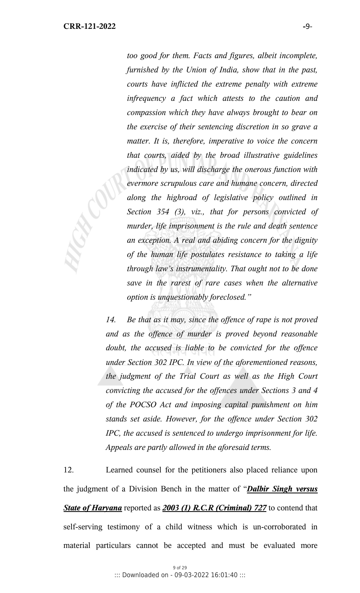*too good for them. Facts and figures, albeit incomplete, furnished by the Union of India, show that in the past, courts have inflicted the extreme penalty with extreme infrequency a fact which attests to the caution and compassion which they have always brought to bear on the exercise of their sentencing discretion in so grave a matter. It is, therefore, imperative to voice the concern that courts, aided by the broad illustrative guidelines indicated by us, will discharge the onerous function with evermore scrupulous care and humane concern, directed along the highroad of legislative policy outlined in Section 354 (3), viz., that for persons convicted of murder, life imprisonment is the rule and death sentence an exception. A real and abiding concern for the dignity of the human life postulates resistance to taking a life through law's instrumentality. That ought not to be done save in the rarest of rare cases when the alternative option is unquestionably foreclosed."* 

*14. Be that as it may, since the offence of rape is not proved and as the offence of murder is proved beyond reasonable doubt, the accused is liable to be convicted for the offence under Section 302 IPC. In view of the aforementioned reasons, the judgment of the Trial Court as well as the High Court convicting the accused for the offences under Sections 3 and 4 of the POCSO Act and imposing capital punishment on him stands set aside. However, for the offence under Section 302 IPC, the accused is sentenced to undergo imprisonment for life. Appeals are partly allowed in the aforesaid terms.* 

12. Learned counsel for the petitioners also placed reliance upon the judgment of a Division Bench in the matter of "*Dalbir Singh versus State of Haryana* reported as *2003 (1) R.C.R (Criminal) 727* to contend that self-serving testimony of a child witness which is un-corroborated in material particulars cannot be accepted and must be evaluated more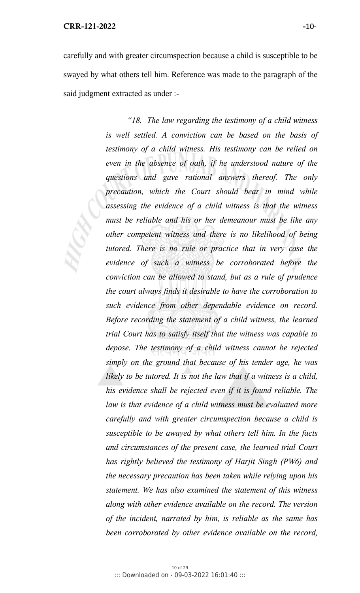#### **CRR-121-2022 -**10-

carefully and with greater circumspection because a child is susceptible to be swayed by what others tell him. Reference was made to the paragraph of the said judgment extracted as under :-

> *"18. The law regarding the testimony of a child witness is well settled. A conviction can be based on the basis of testimony of a child witness. His testimony can be relied on even in the absence of oath, if he understood nature of the questions and gave rational answers thereof. The only precaution, which the Court should bear in mind while assessing the evidence of a child witness is that the witness must be reliable and his or her demeanour must be like any other competent witness and there is no likelihood of being tutored. There is no rule or practice that in very case the evidence of such a witness be corroborated before the conviction can be allowed to stand, but as a rule of prudence the court always finds it desirable to have the corroboration to such evidence from other dependable evidence on record. Before recording the statement of a child witness, the learned trial Court has to satisfy itself that the witness was capable to depose. The testimony of a child witness cannot be rejected simply on the ground that because of his tender age, he was likely to be tutored. It is not the law that if a witness is a child, his evidence shall be rejected even if it is found reliable. The law is that evidence of a child witness must be evaluated more carefully and with greater circumspection because a child is susceptible to be awayed by what others tell him. In the facts and circumstances of the present case, the learned trial Court has rightly believed the testimony of Harjit Singh (PW6) and the necessary precaution has been taken while relying upon his statement. We has also examined the statement of this witness along with other evidence available on the record. The version of the incident, narrated by him, is reliable as the same has been corroborated by other evidence available on the record,*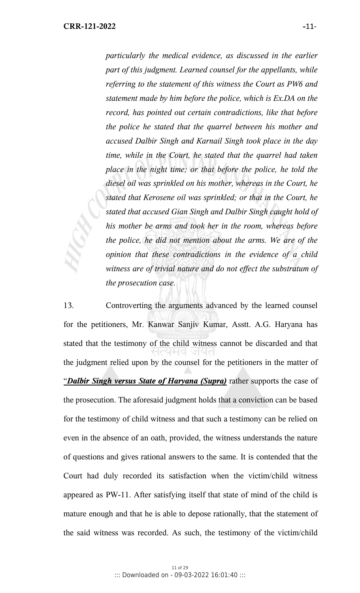*particularly the medical evidence, as discussed in the earlier part of this judgment. Learned counsel for the appellants, while referring to the statement of this witness the Court as PW6 and statement made by him before the police, which is Ex.DA on the record, has pointed out certain contradictions, like that before the police he stated that the quarrel between his mother and accused Dalbir Singh and Karnail Singh took place in the day time, while in the Court, he stated that the quarrel had taken place in the night time; or that before the police, he told the diesel oil was sprinkled on his mother, whereas in the Court, he stated that Kerosene oil was sprinkled; or that in the Court, he stated that accused Gian Singh and Dalbir Singh caught hold of his mother be arms and took her in the room, whereas before the police, he did not mention about the arms. We are of the opinion that these contradictions in the evidence of a child witness are of trivial nature and do not effect the substratum of the prosecution case.*

13. Controverting the arguments advanced by the learned counsel for the petitioners, Mr. Kanwar Sanjiv Kumar, Asstt. A.G. Haryana has stated that the testimony of the child witness cannot be discarded and that the judgment relied upon by the counsel for the petitioners in the matter of "*Dalbir Singh versus State of Haryana (Supra)* rather supports the case of the prosecution. The aforesaid judgment holds that a conviction can be based for the testimony of child witness and that such a testimony can be relied on even in the absence of an oath, provided, the witness understands the nature of questions and gives rational answers to the same. It is contended that the Court had duly recorded its satisfaction when the victim/child witness appeared as PW-11. After satisfying itself that state of mind of the child is mature enough and that he is able to depose rationally, that the statement of the said witness was recorded. As such, the testimony of the victim/child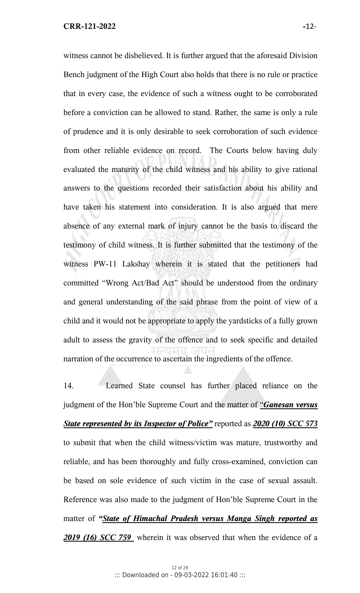witness cannot be disbelieved. It is further argued that the aforesaid Division Bench judgment of the High Court also holds that there is no rule or practice that in every case, the evidence of such a witness ought to be corroborated before a conviction can be allowed to stand. Rather, the same is only a rule of prudence and it is only desirable to seek corroboration of such evidence from other reliable evidence on record. The Courts below having duly evaluated the maturity of the child witness and his ability to give rational answers to the questions recorded their satisfaction about his ability and have taken his statement into consideration. It is also argued that mere absence of any external mark of injury cannot be the basis to discard the testimony of child witness. It is further submitted that the testimony of the witness PW-11 Lakshay wherein it is stated that the petitioners had committed "Wrong Act/Bad Act" should be understood from the ordinary and general understanding of the said phrase from the point of view of a child and it would not be appropriate to apply the yardsticks of a fully grown adult to assess the gravity of the offence and to seek specific and detailed narration of the occurrence to ascertain the ingredients of the offence.

14. Learned State counsel has further placed reliance on the judgment of the Hon'ble Supreme Court and the matter of "*Ganesan versus State represented by its Inspector of Police"* reported as *2020 (10) SCC 573* to submit that when the child witness/victim was mature, trustworthy and reliable, and has been thoroughly and fully cross-examined, conviction can be based on sole evidence of such victim in the case of sexual assault. Reference was also made to the judgment of Hon'ble Supreme Court in the matter of *"State of Himachal Pradesh versus Manga Singh reported as 2019 (16) SCC 759* wherein it was observed that when the evidence of a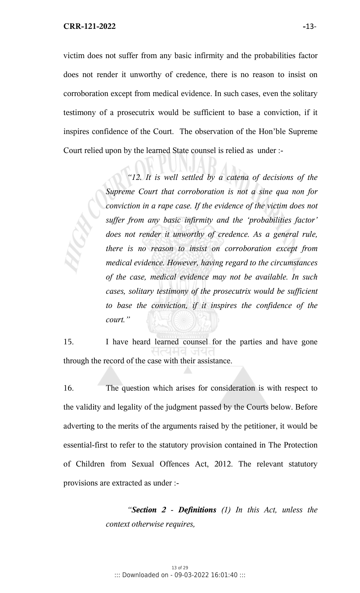victim does not suffer from any basic infirmity and the probabilities factor does not render it unworthy of credence, there is no reason to insist on corroboration except from medical evidence. In such cases, even the solitary testimony of a prosecutrix would be sufficient to base a conviction, if it inspires confidence of the Court. The observation of the Hon'ble Supreme Court relied upon by the learned State counsel is relied as under :-

> *"12. It is well settled by a catena of decisions of the Supreme Court that corroboration is not a sine qua non for conviction in a rape case. If the evidence of the victim does not suffer from any basic infirmity and the 'probabilities factor' does not render it unworthy of credence. As a general rule, there is no reason to insist on corroboration except from medical evidence. However, having regard to the circumstances of the case, medical evidence may not be available. In such cases, solitary testimony of the prosecutrix would be sufficient to base the conviction, if it inspires the confidence of the court."*

15. I have heard learned counsel for the parties and have gone through the record of the case with their assistance.

16. The question which arises for consideration is with respect to the validity and legality of the judgment passed by the Courts below. Before adverting to the merits of the arguments raised by the petitioner, it would be essential-first to refer to the statutory provision contained in The Protection of Children from Sexual Offences Act, 2012. The relevant statutory provisions are extracted as under :-

> *"Section 2 - Definitions (1) In this Act, unless the context otherwise requires,*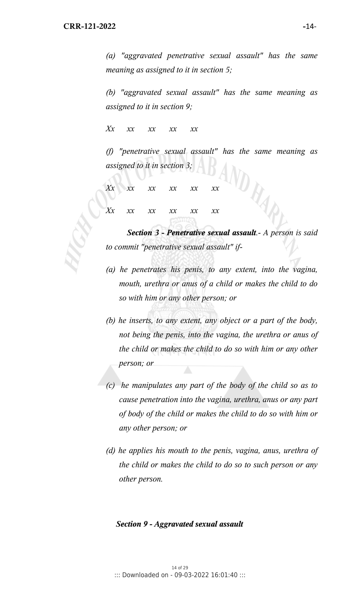*(a) "aggravated penetrative sexual assault" has the same meaning as assigned to it in section 5;* 

*(b) "aggravated sexual assault" has the same meaning as assigned to it in section 9;* 

*Xx xx xx xx xx* 

*(f) "penetrative sexual assault" has the same meaning as assigned to it in section 3;*  ND RAN

*Xx xx xx xx xx xx Xx xx xx xx xx xx* 

*Section 3 - Penetrative sexual assault.- A person is said to commit "penetrative sexual assault" if-* 

- *(a) he penetrates his penis, to any extent, into the vagina, mouth, urethra or anus of a child or makes the child to do so with him or any other person; or*
- *(b) he inserts, to any extent, any object or a part of the body, not being the penis, into the vagina, the urethra or anus of the child or makes the child to do so with him or any other person; or*
- *(c) he manipulates any part of the body of the child so as to cause penetration into the vagina, urethra, anus or any part of body of the child or makes the child to do so with him or any other person; or*
- *(d) he applies his mouth to the penis, vagina, anus, urethra of the child or makes the child to do so to such person or any other person.*

#### *Section 9 - Aggravated sexual assault*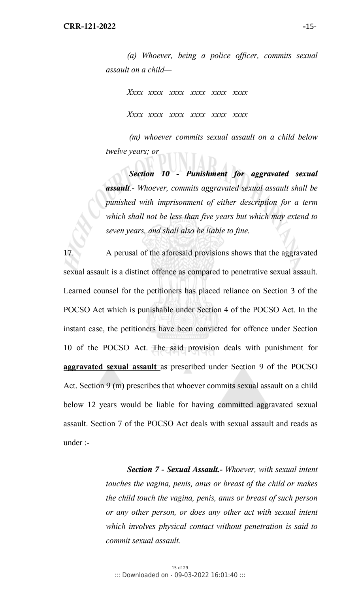*(a) Whoever, being a police officer, commits sexual assault on a child—* 

 *Xxxx xxxx xxxx xxxx xxxx xxxx Xxxx xxxx xxxx xxxx xxxx xxxx* 

 *(m) whoever commits sexual assault on a child below twelve years; or* 

*Section 10 - Punishment for aggravated sexual assault.- Whoever, commits aggravated sexual assault shall be punished with imprisonment of either description for a term which shall not be less than five years but which may extend to seven years, and shall also be liable to fine.*

17. A perusal of the aforesaid provisions shows that the aggravated sexual assault is a distinct offence as compared to penetrative sexual assault. Learned counsel for the petitioners has placed reliance on Section 3 of the POCSO Act which is punishable under Section 4 of the POCSO Act. In the instant case, the petitioners have been convicted for offence under Section 10 of the POCSO Act. The said provision deals with punishment for **aggravated sexual assault** as prescribed under Section 9 of the POCSO Act. Section 9 (m) prescribes that whoever commits sexual assault on a child below 12 years would be liable for having committed aggravated sexual assault. Section 7 of the POCSO Act deals with sexual assault and reads as under :-

> *Section 7 - Sexual Assault.- Whoever, with sexual intent touches the vagina, penis, anus or breast of the child or makes the child touch the vagina, penis, anus or breast of such person or any other person, or does any other act with sexual intent which involves physical contact without penetration is said to commit sexual assault.*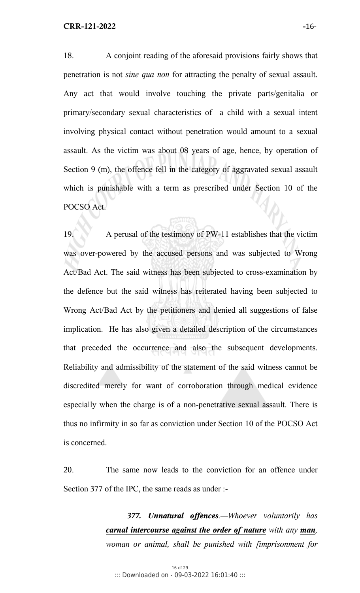18. A conjoint reading of the aforesaid provisions fairly shows that penetration is not *sine qua non* for attracting the penalty of sexual assault. Any act that would involve touching the private parts/genitalia or primary/secondary sexual characteristics of a child with a sexual intent involving physical contact without penetration would amount to a sexual assault. As the victim was about 08 years of age, hence, by operation of Section 9 (m), the offence fell in the category of aggravated sexual assault which is punishable with a term as prescribed under Section 10 of the POCSO Act.

19. A perusal of the testimony of PW-11 establishes that the victim was over-powered by the accused persons and was subjected to Wrong Act/Bad Act. The said witness has been subjected to cross-examination by the defence but the said witness has reiterated having been subjected to Wrong Act/Bad Act by the petitioners and denied all suggestions of false implication. He has also given a detailed description of the circumstances that preceded the occurrence and also the subsequent developments. Reliability and admissibility of the statement of the said witness cannot be discredited merely for want of corroboration through medical evidence especially when the charge is of a non-penetrative sexual assault. There is thus no infirmity in so far as conviction under Section 10 of the POCSO Act is concerned.

20. The same now leads to the conviction for an offence under Section 377 of the IPC, the same reads as under :-

> *377. Unnatural offences.—Whoever voluntarily has carnal intercourse against the order of nature with any man, woman or animal, shall be punished with [imprisonment for*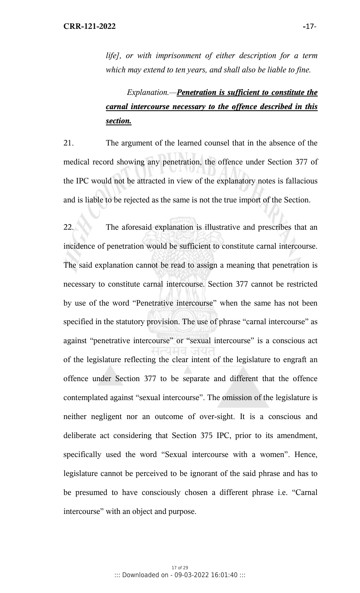*life], or with imprisonment of either description for a term which may extend to ten years, and shall also be liable to fine.* 

# *Explanation.—Penetration is sufficient to constitute the carnal intercourse necessary to the offence described in this section.*

21. The argument of the learned counsel that in the absence of the medical record showing any penetration, the offence under Section 377 of the IPC would not be attracted in view of the explanatory notes is fallacious and is liable to be rejected as the same is not the true import of the Section.

22. The aforesaid explanation is illustrative and prescribes that an incidence of penetration would be sufficient to constitute carnal intercourse. The said explanation cannot be read to assign a meaning that penetration is necessary to constitute carnal intercourse. Section 377 cannot be restricted by use of the word "Penetrative intercourse" when the same has not been specified in the statutory provision. The use of phrase "carnal intercourse" as against "penetrative intercourse" or "sexual intercourse" is a conscious act of the legislature reflecting the clear intent of the legislature to engraft an offence under Section 377 to be separate and different that the offence contemplated against "sexual intercourse". The omission of the legislature is neither negligent nor an outcome of over-sight. It is a conscious and deliberate act considering that Section 375 IPC, prior to its amendment, specifically used the word "Sexual intercourse with a women". Hence, legislature cannot be perceived to be ignorant of the said phrase and has to be presumed to have consciously chosen a different phrase i.e. "Carnal intercourse" with an object and purpose.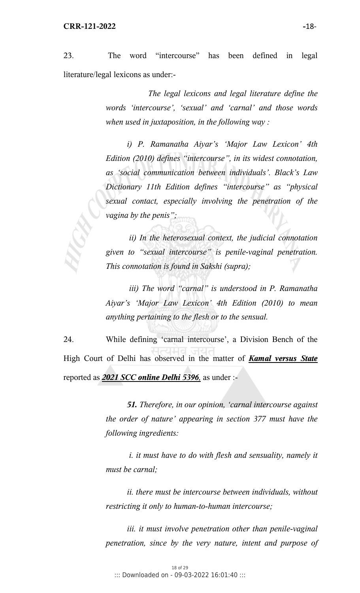23. The word "intercourse" has been defined in legal literature/legal lexicons as under:-

> *The legal lexicons and legal literature define the words 'intercourse', 'sexual' and 'carnal' and those words when used in juxtaposition, in the following way :*

> *i) P. Ramanatha Aiyar's 'Major Law Lexicon' 4th Edition (2010) defines "intercourse", in its widest connotation, as 'social communication between individuals'. Black's Law Dictionary 11th Edition defines "intercourse" as "physical sexual contact, especially involving the penetration of the vagina by the penis";*

> *ii) In the heterosexual context, the judicial connotation given to "sexual intercourse" is penile-vaginal penetration. This connotation is found in Sakshi (supra);*

> *iii) The word "carnal" is understood in P. Ramanatha Aiyar's 'Major Law Lexicon' 4th Edition (2010) to mean anything pertaining to the flesh or to the sensual.*

24. While defining 'carnal intercourse', a Division Bench of the High Court of Delhi has observed in the matter of *Kamal versus State* reported as *2021 SCC online Delhi 5396,* as under :-

> *51. Therefore, in our opinion, 'carnal intercourse against the order of nature' appearing in section 377 must have the following ingredients:*

> *i. it must have to do with flesh and sensuality, namely it must be carnal;*

> *ii. there must be intercourse between individuals, without restricting it only to human-to-human intercourse;*

> *iii. it must involve penetration other than penile-vaginal penetration, since by the very nature, intent and purpose of*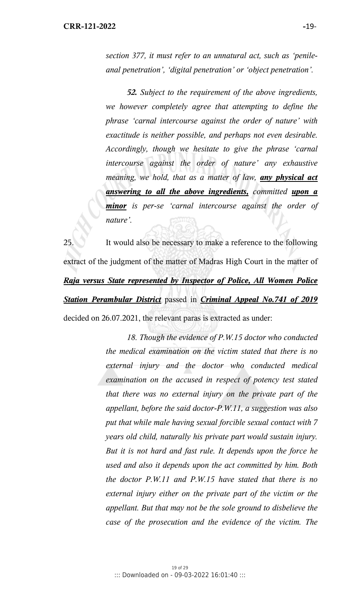*section 377, it must refer to an unnatural act, such as 'penileanal penetration', 'digital penetration' or 'object penetration'.* 

*52. Subject to the requirement of the above ingredients, we however completely agree that attempting to define the phrase 'carnal intercourse against the order of nature' with exactitude is neither possible, and perhaps not even desirable. Accordingly, though we hesitate to give the phrase 'carnal intercourse against the order of nature' any exhaustive meaning, we hold, that as a matter of law, any physical act answering to all the above ingredients, committed upon a minor is per-se 'carnal intercourse against the order of nature'.*

25. It would also be necessary to make a reference to the following extract of the judgment of the matter of Madras High Court in the matter of *Raja versus State represented by Inspector of Police, All Women Police Station Perambular District* passed in *Criminal Appeal No.741 of 2019* decided on 26.07.2021, the relevant paras is extracted as under:

> *18. Though the evidence of P.W.15 doctor who conducted the medical examination on the victim stated that there is no external injury and the doctor who conducted medical examination on the accused in respect of potency test stated that there was no external injury on the private part of the appellant, before the said doctor-P.W.11, a suggestion was also put that while male having sexual forcible sexual contact with 7 years old child, naturally his private part would sustain injury. But it is not hard and fast rule. It depends upon the force he used and also it depends upon the act committed by him. Both the doctor P.W.11 and P.W.15 have stated that there is no external injury either on the private part of the victim or the appellant. But that may not be the sole ground to disbelieve the case of the prosecution and the evidence of the victim. The*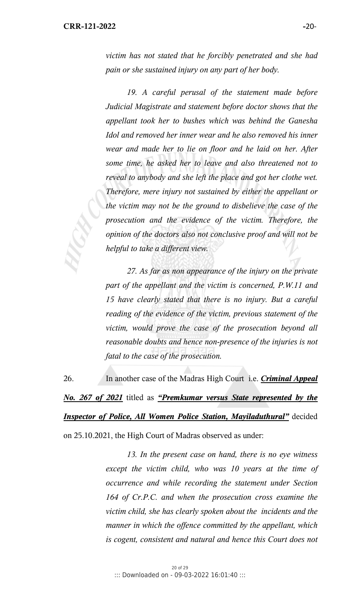*victim has not stated that he forcibly penetrated and she had pain or she sustained injury on any part of her body.* 

 *19. A careful perusal of the statement made before Judicial Magistrate and statement before doctor shows that the appellant took her to bushes which was behind the Ganesha Idol and removed her inner wear and he also removed his inner wear and made her to lie on floor and he laid on her. After some time, he asked her to leave and also threatened not to reveal to anybody and she left the place and got her clothe wet. Therefore, mere injury not sustained by either the appellant or the victim may not be the ground to disbelieve the case of the prosecution and the evidence of the victim. Therefore, the opinion of the doctors also not conclusive proof and will not be helpful to take a different view.* 

 *27. As far as non appearance of the injury on the private part of the appellant and the victim is concerned, P.W.11 and 15 have clearly stated that there is no injury. But a careful reading of the evidence of the victim, previous statement of the victim, would prove the case of the prosecution beyond all reasonable doubts and hence non-presence of the injuries is not fatal to the case of the prosecution.*

26. In another case of the Madras High Court i.e. *Criminal Appeal No. 267 of 2021* titled as *"Premkumar versus State represented by the Inspector of Police, All Women Police Station, Mayiladuthural"* decided on 25.10.2021, the High Court of Madras observed as under:

> *13. In the present case on hand, there is no eye witness except the victim child, who was 10 years at the time of occurrence and while recording the statement under Section 164 of Cr.P.C. and when the prosecution cross examine the victim child, she has clearly spoken about the incidents and the manner in which the offence committed by the appellant, which is cogent, consistent and natural and hence this Court does not*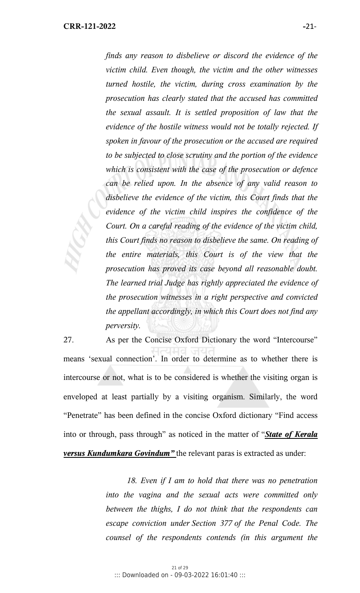*finds any reason to disbelieve or discord the evidence of the victim child. Even though, the victim and the other witnesses turned hostile, the victim, during cross examination by the prosecution has clearly stated that the accused has committed the sexual assault. It is settled proposition of law that the evidence of the hostile witness would not be totally rejected. If spoken in favour of the prosecution or the accused are required to be subjected to close scrutiny and the portion of the evidence which is consistent with the case of the prosecution or defence can be relied upon. In the absence of any valid reason to disbelieve the evidence of the victim, this Court finds that the evidence of the victim child inspires the confidence of the Court. On a careful reading of the evidence of the victim child, this Court finds no reason to disbelieve the same. On reading of the entire materials, this Court is of the view that the prosecution has proved its case beyond all reasonable doubt. The learned trial Judge has rightly appreciated the evidence of the prosecution witnesses in a right perspective and convicted the appellant accordingly, in which this Court does not find any perversity.* 

27. As per the Concise Oxford Dictionary the word "Intercourse" means 'sexual connection'. In order to determine as to whether there is intercourse or not, what is to be considered is whether the visiting organ is enveloped at least partially by a visiting organism. Similarly, the word "Penetrate" has been defined in the concise Oxford dictionary "Find access into or through, pass through" as noticed in the matter of "*State of Kerala versus Kundumkara Govindum"* the relevant paras is extracted as under:

> *18. Even if I am to hold that there was no penetration into the vagina and the sexual acts were committed only between the thighs, I do not think that the respondents can escape conviction under Section 377 of the Penal Code. The counsel of the respondents contends (in this argument the*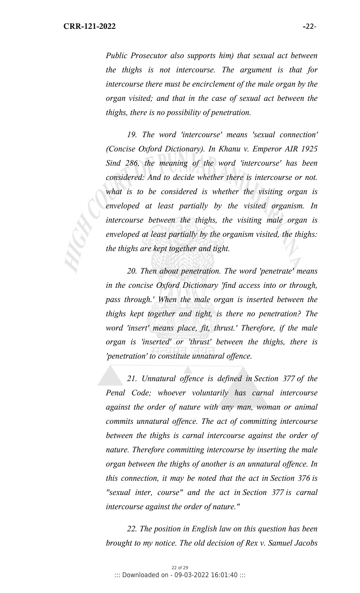*Public Prosecutor also supports him) that sexual act between the thighs is not intercourse. The argument is that for intercourse there must be encirclement of the male organ by the organ visited; and that in the case of sexual act between the thighs, there is no possibility of penetration.* 

 *19. The word 'intercourse' means 'sexual connection' (Concise Oxford Dictionary). In Khanu v. Emperor AIR 1925 Sind 286, the meaning of the word 'intercourse' has been considered: And to decide whether there is intercourse or not. what is to be considered is whether the visiting organ is enveloped at least partially by the visited organism. In intercourse between the thighs, the visiting male organ is enveloped at least partially by the organism visited, the thighs: the thighs are kept together and tight.* 

 *20. Then about penetration. The word 'penetrate' means in the concise Oxford Dictionary 'find access into or through, pass through.' When the male organ is inserted between the thighs kept together and tight, is there no penetration? The word 'insert' means place, fit, thrust.' Therefore, if the male organ is 'inserted' or 'thrust' between the thighs, there is 'penetration' to constitute unnatural offence.* 

 *21. Unnatural offence is defined in Section 377 of the Penal Code; whoever voluntarily has carnal intercourse against the order of nature with any man, woman or animal commits unnatural offence. The act of committing intercourse between the thighs is carnal intercourse against the order of nature. Therefore committing intercourse by inserting the male organ between the thighs of another is an unnatural offence. In this connection, it may be noted that the act in Section 376 is "sexual inter, course" and the act in Section 377 is carnal intercourse against the order of nature."* 

 *22. The position in English law on this question has been brought to my notice. The old decision of Rex v. Samuel Jacobs*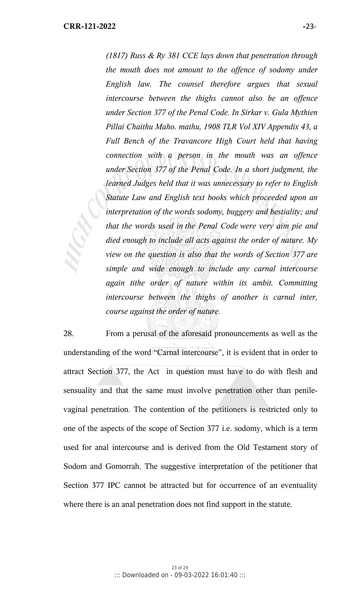*(1817) Russ & Ry 381 CCE lays down that penetration through the mouth does not amount to the offence of sodomy under English law. The counsel therefore argues that sexual intercourse between the thighs cannot also be an offence under Section 377 of the Penal Code. In Sirkar v. Gula Mythien Pillai Chaithu Maho. mathu, 1908 TLR Vol XIV Appendix 43, a Full Bench of the Travancore High Court held that having connection with a person in the mouth was an offence under Section 377 of the Penal Code. In a short judgment, the learned Judges held that it was unnecessary to refer to English Statute Law and English text books which proceeded upon an interpretation of the words sodomy, buggery and bestiality; and that the words used in the Penal Code were very aim pie and died enough to include all acts against the order of nature. My view on the question is also that the words of Section 377 are simple and wide enough to include any carnal intercourse again tithe order of nature within its ambit. Committing intercourse between the thighs of another is carnal inter, course against the order of nature.* 

28. From a perusal of the aforesaid pronouncements as well as the understanding of the word "Carnal intercourse", it is evident that in order to attract Section 377, the Act in question must have to do with flesh and sensuality and that the same must involve penetration other than penilevaginal penetration. The contention of the petitioners is restricted only to one of the aspects of the scope of Section 377 i.e. sodomy, which is a term used for anal intercourse and is derived from the Old Testament story of Sodom and Gomorrah. The suggestive interpretation of the petitioner that Section 377 IPC cannot be attracted but for occurrence of an eventuality where there is an anal penetration does not find support in the statute.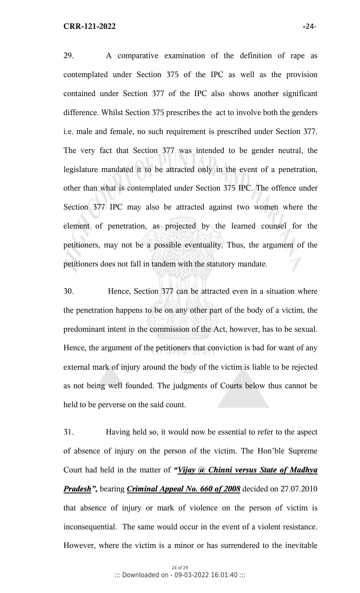29. A comparative examination of the definition of rape as contemplated under Section 375 of the IPC as well as the provision contained under Section 377 of the IPC also shows another significant difference. Whilst Section 375 prescribes the act to involve both the genders i.e. male and female, no such requirement is prescribed under Section 377. The very fact that Section 377 was intended to be gender neutral, the legislature mandated it to be attracted only in the event of a penetration, other than what is contemplated under Section 375 IPC. The offence under Section 377 IPC may also be attracted against two women where the element of penetration, as projected by the learned counsel for the petitioners, may not be a possible eventuality. Thus, the argument of the petitioners does not fall in tandem with the statutory mandate.

30. Hence, Section 377 can be attracted even in a situation where the penetration happens to be on any other part of the body of a victim, the predominant intent in the commission of the Act, however, has to be sexual. Hence, the argument of the petitioners that conviction is bad for want of any external mark of injury around the body of the victim is liable to be rejected as not being well founded. The judgments of Courts below thus cannot be held to be perverse on the said count.

31. Having held so, it would now be essential to refer to the aspect of absence of injury on the person of the victim. The Hon'ble Supreme Court had held in the matter of *"Vijay @ Chinni versus State of Madhya Pradesh",* bearing *Criminal Appeal No. 660 of 2008* decided on 27.07.2010 that absence of injury or mark of violence on the person of victim is inconsequential. The same would occur in the event of a violent resistance. However, where the victim is a minor or has surrendered to the inevitable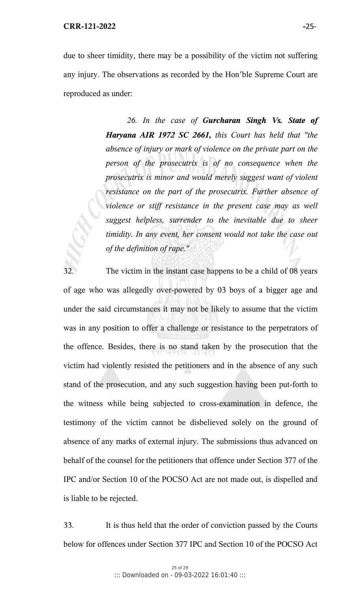due to sheer timidity, there may be a possibility of the victim not suffering any injury. The observations as recorded by the Hon'ble Supreme Court are reproduced as under:

> *26. In the case of Gurcharan Singh Vs. State of Haryana AIR 1972 SC 2661, this Court has held that "the absence of injury or mark of violence on the private part on the person of the prosecutrix is of no consequence when the prosecutrix is minor and would merely suggest want of violent resistance on the part of the prosecutrix. Further absence of violence or stiff resistance in the present case may as well suggest helpless, surrender to the inevitable due to sheer timidity. In any event, her consent would not take the case out of the definition of rape."*

32. The victim in the instant case happens to be a child of 08 years of age who was allegedly over-powered by 03 boys of a bigger age and under the said circumstances it may not be likely to assume that the victim was in any position to offer a challenge or resistance to the perpetrators of the offence. Besides, there is no stand taken by the prosecution that the victim had violently resisted the petitioners and in the absence of any such stand of the prosecution, and any such suggestion having been put-forth to the witness while being subjected to cross-examination in defence, the testimony of the victim cannot be disbelieved solely on the ground of absence of any marks of external injury. The submissions thus advanced on behalf of the counsel for the petitioners that offence under Section 377 of the IPC and/or Section 10 of the POCSO Act are not made out, is dispelled and is liable to be rejected.

33. It is thus held that the order of conviction passed by the Courts below for offences under Section 377 IPC and Section 10 of the POCSO Act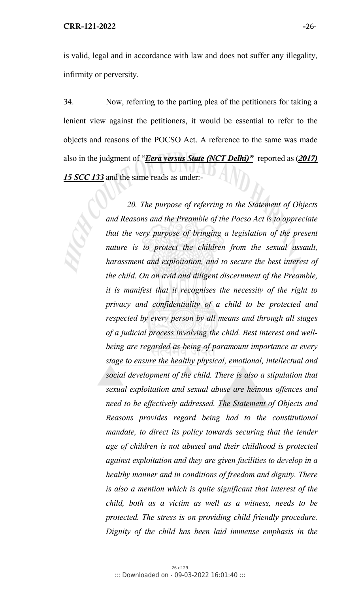is valid, legal and in accordance with law and does not suffer any illegality, infirmity or perversity.

34. Now, referring to the parting plea of the petitioners for taking a lenient view against the petitioners, it would be essential to refer to the objects and reasons of the POCSO Act. A reference to the same was made also in the judgment of "*Eera versus State (NCT Delhi)"* reported as (*2017) 15 SCC 133* and the same reads as under:-

> *20. The purpose of referring to the Statement of Objects and Reasons and the Preamble of the Pocso Act is to appreciate that the very purpose of bringing a legislation of the present nature is to protect the children from the sexual assault, harassment and exploitation, and to secure the best interest of the child. On an avid and diligent discernment of the Preamble, it is manifest that it recognises the necessity of the right to privacy and confidentiality of a child to be protected and respected by every person by all means and through all stages of a judicial process involving the child. Best interest and wellbeing are regarded as being of paramount importance at every stage to ensure the healthy physical, emotional, intellectual and social development of the child. There is also a stipulation that sexual exploitation and sexual abuse are heinous offences and need to be effectively addressed. The Statement of Objects and Reasons provides regard being had to the constitutional mandate, to direct its policy towards securing that the tender age of children is not abused and their childhood is protected against exploitation and they are given facilities to develop in a healthy manner and in conditions of freedom and dignity. There is also a mention which is quite significant that interest of the child, both as a victim as well as a witness, needs to be protected. The stress is on providing child friendly procedure. Dignity of the child has been laid immense emphasis in the*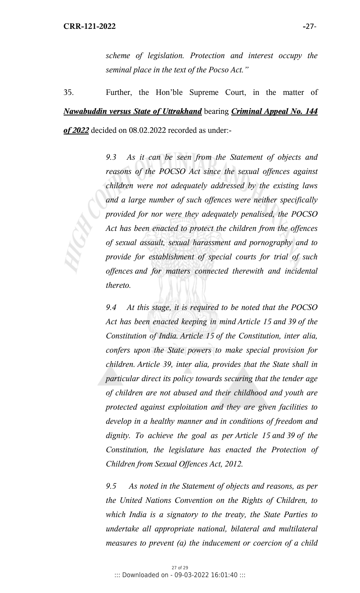*scheme of legislation. Protection and interest occupy the seminal place in the text of the Pocso Act."* 

35. Further, the Hon'ble Supreme Court, in the matter of *Nawabuddin versus State of Uttrakhand* bearing *Criminal Appeal No. 144 of 2022* decided on 08.02.2022 recorded as under:-

> *9.3 As it can be seen from the Statement of objects and reasons of the POCSO Act since the sexual offences against children were not adequately addressed by the existing laws and a large number of such offences were neither specifically provided for nor were they adequately penalised, the POCSO Act has been enacted to protect the children from the offences of sexual assault, sexual harassment and pornography and to provide for establishment of special courts for trial of such offences and for matters connected therewith and incidental thereto.*

> *9.4 At this stage, it is required to be noted that the POCSO Act has been enacted keeping in mind Article 15 and 39 of the Constitution of India. Article 15 of the Constitution, inter alia, confers upon the State powers to make special provision for children. Article 39, inter alia, provides that the State shall in particular direct its policy towards securing that the tender age of children are not abused and their childhood and youth are protected against exploitation and they are given facilities to develop in a healthy manner and in conditions of freedom and dignity. To achieve the goal as per Article 15 and 39 of the Constitution, the legislature has enacted the Protection of Children from Sexual Offences Act, 2012.*

> *9.5 As noted in the Statement of objects and reasons, as per the United Nations Convention on the Rights of Children, to which India is a signatory to the treaty, the State Parties to undertake all appropriate national, bilateral and multilateral measures to prevent (a) the inducement or coercion of a child*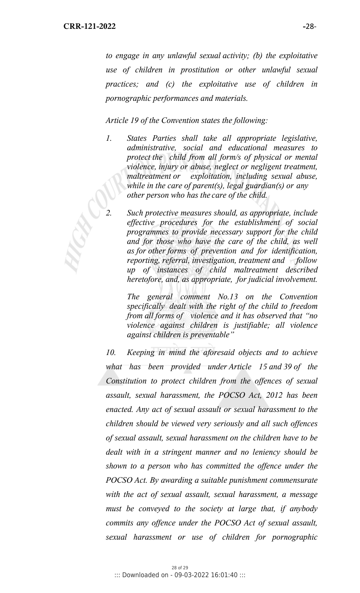*to engage in any unlawful sexual activity; (b) the exploitative use of children in prostitution or other unlawful sexual practices; and (c) the exploitative use of children in pornographic performances and materials.* 

*Article 19 of the Convention states the following:* 

- *1. States Parties shall take all appropriate legislative, administrative, social and educational measures to protect the child from all form/s of physical or mental violence, injury or abuse, neglect or negligent treatment, maltreatment or exploitation, including sexual abuse, while in the care of parent(s), legal guardian(s) or any other person who has the care of the child.* 
	- *2. Such protective measures should, as appropriate, include effective procedures for the establishment of social programmes to provide necessary support for the child and for those who have the care of the child, as well as for other forms of prevention and for identification, reporting, referral, investigation, treatment and follow up of instances of child maltreatment described heretofore, and, as appropriate, for judicial involvement.*

 *The general comment No.13 on the Convention specifically dealt with the right of the child to freedom from all forms of violence and it has observed that "no violence against children is justifiable; all violence against children is preventable"* 

*10. Keeping in mind the aforesaid objects and to achieve what has been provided under Article 15 and 39 of the Constitution to protect children from the offences of sexual assault, sexual harassment, the POCSO Act, 2012 has been enacted. Any act of sexual assault or sexual harassment to the children should be viewed very seriously and all such offences of sexual assault, sexual harassment on the children have to be dealt with in a stringent manner and no leniency should be shown to a person who has committed the offence under the POCSO Act. By awarding a suitable punishment commensurate with the act of sexual assault, sexual harassment, a message must be conveyed to the society at large that, if anybody commits any offence under the POCSO Act of sexual assault, sexual harassment or use of children for pornographic*